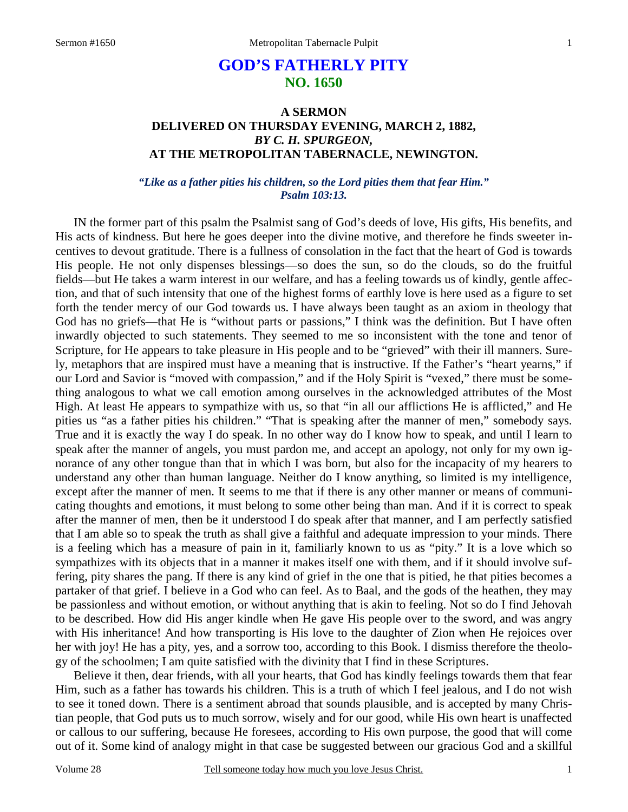# **GOD'S FATHERLY PITY NO. 1650**

## **A SERMON DELIVERED ON THURSDAY EVENING, MARCH 2, 1882,**  *BY C. H. SPURGEON,*  **AT THE METROPOLITAN TABERNACLE, NEWINGTON.**

### *"Like as a father pities his children, so the Lord pities them that fear Him." Psalm 103:13.*

IN the former part of this psalm the Psalmist sang of God's deeds of love, His gifts, His benefits, and His acts of kindness. But here he goes deeper into the divine motive, and therefore he finds sweeter incentives to devout gratitude. There is a fullness of consolation in the fact that the heart of God is towards His people. He not only dispenses blessings—so does the sun, so do the clouds, so do the fruitful fields—but He takes a warm interest in our welfare, and has a feeling towards us of kindly, gentle affection, and that of such intensity that one of the highest forms of earthly love is here used as a figure to set forth the tender mercy of our God towards us. I have always been taught as an axiom in theology that God has no griefs—that He is "without parts or passions," I think was the definition. But I have often inwardly objected to such statements. They seemed to me so inconsistent with the tone and tenor of Scripture, for He appears to take pleasure in His people and to be "grieved" with their ill manners. Surely, metaphors that are inspired must have a meaning that is instructive. If the Father's "heart yearns," if our Lord and Savior is "moved with compassion," and if the Holy Spirit is "vexed," there must be something analogous to what we call emotion among ourselves in the acknowledged attributes of the Most High. At least He appears to sympathize with us, so that "in all our afflictions He is afflicted," and He pities us "as a father pities his children." "That is speaking after the manner of men," somebody says. True and it is exactly the way I do speak. In no other way do I know how to speak, and until I learn to speak after the manner of angels, you must pardon me, and accept an apology, not only for my own ignorance of any other tongue than that in which I was born, but also for the incapacity of my hearers to understand any other than human language. Neither do I know anything, so limited is my intelligence, except after the manner of men. It seems to me that if there is any other manner or means of communicating thoughts and emotions, it must belong to some other being than man. And if it is correct to speak after the manner of men, then be it understood I do speak after that manner, and I am perfectly satisfied that I am able so to speak the truth as shall give a faithful and adequate impression to your minds. There is a feeling which has a measure of pain in it, familiarly known to us as "pity." It is a love which so sympathizes with its objects that in a manner it makes itself one with them, and if it should involve suffering, pity shares the pang. If there is any kind of grief in the one that is pitied, he that pities becomes a partaker of that grief. I believe in a God who can feel. As to Baal, and the gods of the heathen, they may be passionless and without emotion, or without anything that is akin to feeling. Not so do I find Jehovah to be described. How did His anger kindle when He gave His people over to the sword, and was angry with His inheritance! And how transporting is His love to the daughter of Zion when He rejoices over her with joy! He has a pity, yes, and a sorrow too, according to this Book. I dismiss therefore the theology of the schoolmen; I am quite satisfied with the divinity that I find in these Scriptures.

 Believe it then, dear friends, with all your hearts, that God has kindly feelings towards them that fear Him, such as a father has towards his children. This is a truth of which I feel jealous, and I do not wish to see it toned down. There is a sentiment abroad that sounds plausible, and is accepted by many Christian people, that God puts us to much sorrow, wisely and for our good, while His own heart is unaffected or callous to our suffering, because He foresees, according to His own purpose, the good that will come out of it. Some kind of analogy might in that case be suggested between our gracious God and a skillful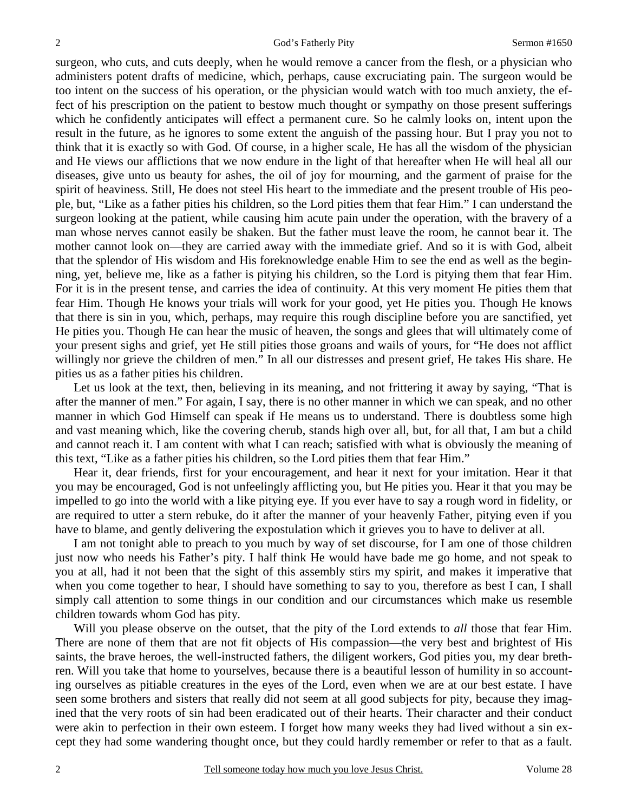surgeon, who cuts, and cuts deeply, when he would remove a cancer from the flesh, or a physician who administers potent drafts of medicine, which, perhaps, cause excruciating pain. The surgeon would be too intent on the success of his operation, or the physician would watch with too much anxiety, the effect of his prescription on the patient to bestow much thought or sympathy on those present sufferings which he confidently anticipates will effect a permanent cure. So he calmly looks on, intent upon the result in the future, as he ignores to some extent the anguish of the passing hour. But I pray you not to think that it is exactly so with God. Of course, in a higher scale, He has all the wisdom of the physician and He views our afflictions that we now endure in the light of that hereafter when He will heal all our diseases, give unto us beauty for ashes, the oil of joy for mourning, and the garment of praise for the spirit of heaviness. Still, He does not steel His heart to the immediate and the present trouble of His people, but, "Like as a father pities his children, so the Lord pities them that fear Him." I can understand the surgeon looking at the patient, while causing him acute pain under the operation, with the bravery of a man whose nerves cannot easily be shaken. But the father must leave the room, he cannot bear it. The mother cannot look on—they are carried away with the immediate grief. And so it is with God, albeit that the splendor of His wisdom and His foreknowledge enable Him to see the end as well as the beginning, yet, believe me, like as a father is pitying his children, so the Lord is pitying them that fear Him. For it is in the present tense, and carries the idea of continuity. At this very moment He pities them that fear Him. Though He knows your trials will work for your good, yet He pities you. Though He knows that there is sin in you, which, perhaps, may require this rough discipline before you are sanctified, yet He pities you. Though He can hear the music of heaven, the songs and glees that will ultimately come of your present sighs and grief, yet He still pities those groans and wails of yours, for "He does not afflict willingly nor grieve the children of men." In all our distresses and present grief, He takes His share. He pities us as a father pities his children.

 Let us look at the text, then, believing in its meaning, and not frittering it away by saying, "That is after the manner of men." For again, I say, there is no other manner in which we can speak, and no other manner in which God Himself can speak if He means us to understand. There is doubtless some high and vast meaning which, like the covering cherub, stands high over all, but, for all that, I am but a child and cannot reach it. I am content with what I can reach; satisfied with what is obviously the meaning of this text, "Like as a father pities his children, so the Lord pities them that fear Him."

 Hear it, dear friends, first for your encouragement, and hear it next for your imitation. Hear it that you may be encouraged, God is not unfeelingly afflicting you, but He pities you. Hear it that you may be impelled to go into the world with a like pitying eye. If you ever have to say a rough word in fidelity, or are required to utter a stern rebuke, do it after the manner of your heavenly Father, pitying even if you have to blame, and gently delivering the expostulation which it grieves you to have to deliver at all.

 I am not tonight able to preach to you much by way of set discourse, for I am one of those children just now who needs his Father's pity. I half think He would have bade me go home, and not speak to you at all, had it not been that the sight of this assembly stirs my spirit, and makes it imperative that when you come together to hear, I should have something to say to you, therefore as best I can, I shall simply call attention to some things in our condition and our circumstances which make us resemble children towards whom God has pity.

 Will you please observe on the outset, that the pity of the Lord extends to *all* those that fear Him. There are none of them that are not fit objects of His compassion—the very best and brightest of His saints, the brave heroes, the well-instructed fathers, the diligent workers, God pities you, my dear brethren. Will you take that home to yourselves, because there is a beautiful lesson of humility in so accounting ourselves as pitiable creatures in the eyes of the Lord, even when we are at our best estate. I have seen some brothers and sisters that really did not seem at all good subjects for pity, because they imagined that the very roots of sin had been eradicated out of their hearts. Their character and their conduct were akin to perfection in their own esteem. I forget how many weeks they had lived without a sin except they had some wandering thought once, but they could hardly remember or refer to that as a fault.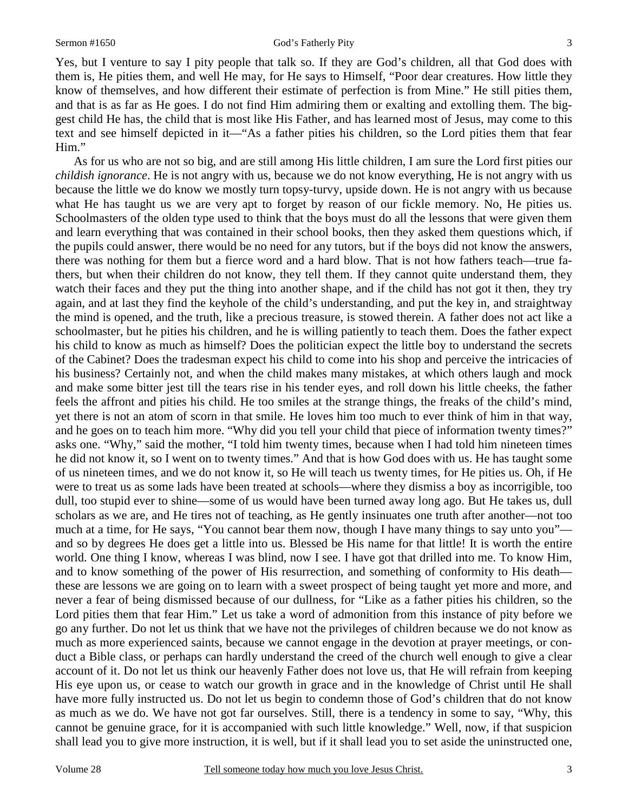Yes, but I venture to say I pity people that talk so. If they are God's children, all that God does with them is, He pities them, and well He may, for He says to Himself, "Poor dear creatures. How little they know of themselves, and how different their estimate of perfection is from Mine." He still pities them, and that is as far as He goes. I do not find Him admiring them or exalting and extolling them. The biggest child He has, the child that is most like His Father, and has learned most of Jesus, may come to this text and see himself depicted in it—"As a father pities his children, so the Lord pities them that fear Him."

 As for us who are not so big, and are still among His little children, I am sure the Lord first pities our *childish ignorance*. He is not angry with us, because we do not know everything, He is not angry with us because the little we do know we mostly turn topsy-turvy, upside down. He is not angry with us because what He has taught us we are very apt to forget by reason of our fickle memory. No, He pities us. Schoolmasters of the olden type used to think that the boys must do all the lessons that were given them and learn everything that was contained in their school books, then they asked them questions which, if the pupils could answer, there would be no need for any tutors, but if the boys did not know the answers, there was nothing for them but a fierce word and a hard blow. That is not how fathers teach—true fathers, but when their children do not know, they tell them. If they cannot quite understand them, they watch their faces and they put the thing into another shape, and if the child has not got it then, they try again, and at last they find the keyhole of the child's understanding, and put the key in, and straightway the mind is opened, and the truth, like a precious treasure, is stowed therein. A father does not act like a schoolmaster, but he pities his children, and he is willing patiently to teach them. Does the father expect his child to know as much as himself? Does the politician expect the little boy to understand the secrets of the Cabinet? Does the tradesman expect his child to come into his shop and perceive the intricacies of his business? Certainly not, and when the child makes many mistakes, at which others laugh and mock and make some bitter jest till the tears rise in his tender eyes, and roll down his little cheeks, the father feels the affront and pities his child. He too smiles at the strange things, the freaks of the child's mind, yet there is not an atom of scorn in that smile. He loves him too much to ever think of him in that way, and he goes on to teach him more. "Why did you tell your child that piece of information twenty times?" asks one. "Why," said the mother, "I told him twenty times, because when I had told him nineteen times he did not know it, so I went on to twenty times." And that is how God does with us. He has taught some of us nineteen times, and we do not know it, so He will teach us twenty times, for He pities us. Oh, if He were to treat us as some lads have been treated at schools—where they dismiss a boy as incorrigible, too dull, too stupid ever to shine—some of us would have been turned away long ago. But He takes us, dull scholars as we are, and He tires not of teaching, as He gently insinuates one truth after another—not too much at a time, for He says, "You cannot bear them now, though I have many things to say unto you" and so by degrees He does get a little into us. Blessed be His name for that little! It is worth the entire world. One thing I know, whereas I was blind, now I see. I have got that drilled into me. To know Him, and to know something of the power of His resurrection, and something of conformity to His death these are lessons we are going on to learn with a sweet prospect of being taught yet more and more, and never a fear of being dismissed because of our dullness, for "Like as a father pities his children, so the Lord pities them that fear Him." Let us take a word of admonition from this instance of pity before we go any further. Do not let us think that we have not the privileges of children because we do not know as much as more experienced saints, because we cannot engage in the devotion at prayer meetings, or conduct a Bible class, or perhaps can hardly understand the creed of the church well enough to give a clear account of it. Do not let us think our heavenly Father does not love us, that He will refrain from keeping His eye upon us, or cease to watch our growth in grace and in the knowledge of Christ until He shall have more fully instructed us. Do not let us begin to condemn those of God's children that do not know as much as we do. We have not got far ourselves. Still, there is a tendency in some to say, "Why, this cannot be genuine grace, for it is accompanied with such little knowledge." Well, now, if that suspicion shall lead you to give more instruction, it is well, but if it shall lead you to set aside the uninstructed one,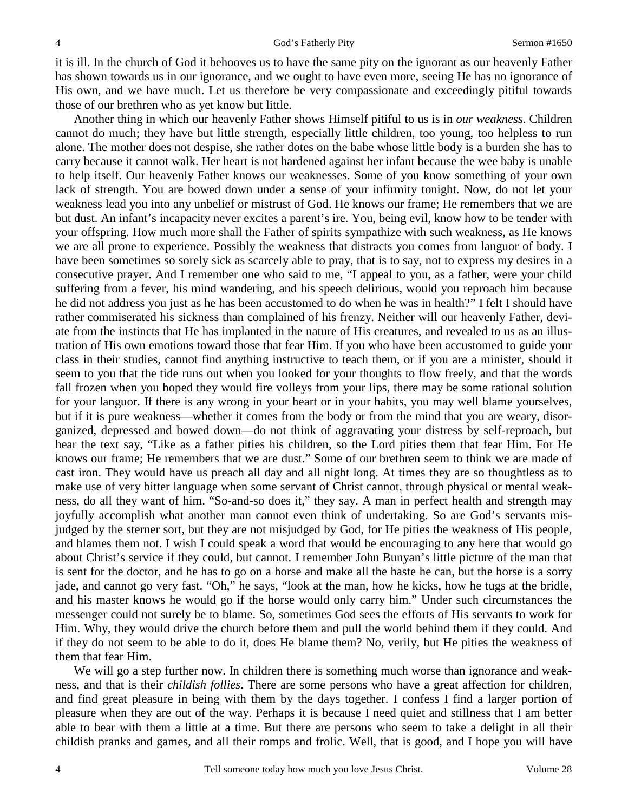it is ill. In the church of God it behooves us to have the same pity on the ignorant as our heavenly Father has shown towards us in our ignorance, and we ought to have even more, seeing He has no ignorance of His own, and we have much. Let us therefore be very compassionate and exceedingly pitiful towards those of our brethren who as yet know but little.

 Another thing in which our heavenly Father shows Himself pitiful to us is in *our weakness*. Children cannot do much; they have but little strength, especially little children, too young, too helpless to run alone. The mother does not despise, she rather dotes on the babe whose little body is a burden she has to carry because it cannot walk. Her heart is not hardened against her infant because the wee baby is unable to help itself. Our heavenly Father knows our weaknesses. Some of you know something of your own lack of strength. You are bowed down under a sense of your infirmity tonight. Now, do not let your weakness lead you into any unbelief or mistrust of God. He knows our frame; He remembers that we are but dust. An infant's incapacity never excites a parent's ire. You, being evil, know how to be tender with your offspring. How much more shall the Father of spirits sympathize with such weakness, as He knows we are all prone to experience. Possibly the weakness that distracts you comes from languor of body. I have been sometimes so sorely sick as scarcely able to pray, that is to say, not to express my desires in a consecutive prayer. And I remember one who said to me, "I appeal to you, as a father, were your child suffering from a fever, his mind wandering, and his speech delirious, would you reproach him because he did not address you just as he has been accustomed to do when he was in health?" I felt I should have rather commiserated his sickness than complained of his frenzy. Neither will our heavenly Father, deviate from the instincts that He has implanted in the nature of His creatures, and revealed to us as an illustration of His own emotions toward those that fear Him. If you who have been accustomed to guide your class in their studies, cannot find anything instructive to teach them, or if you are a minister, should it seem to you that the tide runs out when you looked for your thoughts to flow freely, and that the words fall frozen when you hoped they would fire volleys from your lips, there may be some rational solution for your languor. If there is any wrong in your heart or in your habits, you may well blame yourselves, but if it is pure weakness—whether it comes from the body or from the mind that you are weary, disorganized, depressed and bowed down—do not think of aggravating your distress by self-reproach, but hear the text say, "Like as a father pities his children, so the Lord pities them that fear Him. For He knows our frame; He remembers that we are dust." Some of our brethren seem to think we are made of cast iron. They would have us preach all day and all night long. At times they are so thoughtless as to make use of very bitter language when some servant of Christ cannot, through physical or mental weakness, do all they want of him. "So-and-so does it," they say. A man in perfect health and strength may joyfully accomplish what another man cannot even think of undertaking. So are God's servants misjudged by the sterner sort, but they are not misjudged by God, for He pities the weakness of His people, and blames them not. I wish I could speak a word that would be encouraging to any here that would go about Christ's service if they could, but cannot. I remember John Bunyan's little picture of the man that is sent for the doctor, and he has to go on a horse and make all the haste he can, but the horse is a sorry jade, and cannot go very fast. "Oh," he says, "look at the man, how he kicks, how he tugs at the bridle, and his master knows he would go if the horse would only carry him." Under such circumstances the messenger could not surely be to blame. So, sometimes God sees the efforts of His servants to work for Him. Why, they would drive the church before them and pull the world behind them if they could. And if they do not seem to be able to do it, does He blame them? No, verily, but He pities the weakness of them that fear Him.

 We will go a step further now. In children there is something much worse than ignorance and weakness, and that is their *childish follies*. There are some persons who have a great affection for children, and find great pleasure in being with them by the days together. I confess I find a larger portion of pleasure when they are out of the way. Perhaps it is because I need quiet and stillness that I am better able to bear with them a little at a time. But there are persons who seem to take a delight in all their childish pranks and games, and all their romps and frolic. Well, that is good, and I hope you will have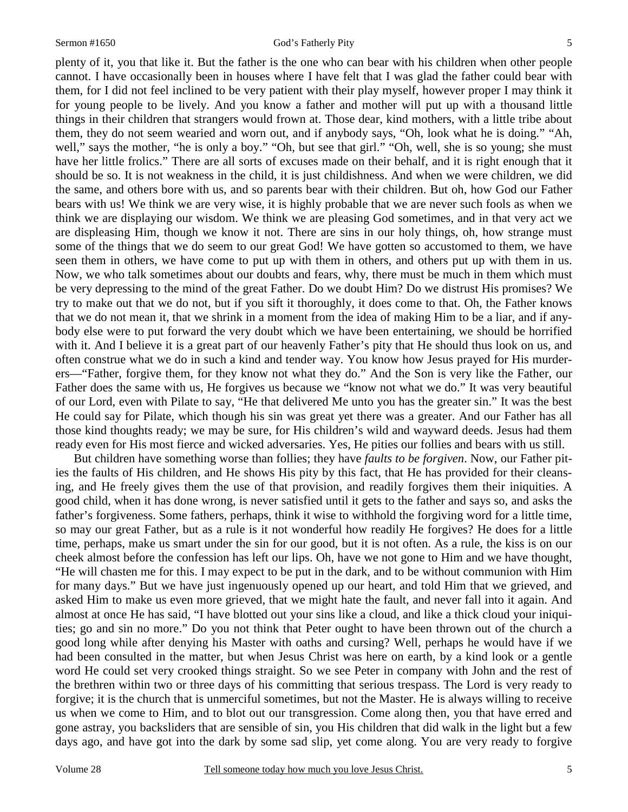plenty of it, you that like it. But the father is the one who can bear with his children when other people cannot. I have occasionally been in houses where I have felt that I was glad the father could bear with them, for I did not feel inclined to be very patient with their play myself, however proper I may think it for young people to be lively. And you know a father and mother will put up with a thousand little things in their children that strangers would frown at. Those dear, kind mothers, with a little tribe about them, they do not seem wearied and worn out, and if anybody says, "Oh, look what he is doing." "Ah, well," says the mother, "he is only a boy." "Oh, but see that girl." "Oh, well, she is so young; she must have her little frolics." There are all sorts of excuses made on their behalf, and it is right enough that it should be so. It is not weakness in the child, it is just childishness. And when we were children, we did the same, and others bore with us, and so parents bear with their children. But oh, how God our Father bears with us! We think we are very wise, it is highly probable that we are never such fools as when we think we are displaying our wisdom. We think we are pleasing God sometimes, and in that very act we are displeasing Him, though we know it not. There are sins in our holy things, oh, how strange must some of the things that we do seem to our great God! We have gotten so accustomed to them, we have seen them in others, we have come to put up with them in others, and others put up with them in us. Now, we who talk sometimes about our doubts and fears, why, there must be much in them which must be very depressing to the mind of the great Father. Do we doubt Him? Do we distrust His promises? We try to make out that we do not, but if you sift it thoroughly, it does come to that. Oh, the Father knows that we do not mean it, that we shrink in a moment from the idea of making Him to be a liar, and if anybody else were to put forward the very doubt which we have been entertaining, we should be horrified with it. And I believe it is a great part of our heavenly Father's pity that He should thus look on us, and often construe what we do in such a kind and tender way. You know how Jesus prayed for His murderers—"Father, forgive them, for they know not what they do." And the Son is very like the Father, our Father does the same with us, He forgives us because we "know not what we do." It was very beautiful of our Lord, even with Pilate to say, "He that delivered Me unto you has the greater sin." It was the best He could say for Pilate, which though his sin was great yet there was a greater. And our Father has all those kind thoughts ready; we may be sure, for His children's wild and wayward deeds. Jesus had them ready even for His most fierce and wicked adversaries. Yes, He pities our follies and bears with us still.

 But children have something worse than follies; they have *faults to be forgiven*. Now, our Father pities the faults of His children, and He shows His pity by this fact, that He has provided for their cleansing, and He freely gives them the use of that provision, and readily forgives them their iniquities. A good child, when it has done wrong, is never satisfied until it gets to the father and says so, and asks the father's forgiveness. Some fathers, perhaps, think it wise to withhold the forgiving word for a little time, so may our great Father, but as a rule is it not wonderful how readily He forgives? He does for a little time, perhaps, make us smart under the sin for our good, but it is not often. As a rule, the kiss is on our cheek almost before the confession has left our lips. Oh, have we not gone to Him and we have thought, "He will chasten me for this. I may expect to be put in the dark, and to be without communion with Him for many days." But we have just ingenuously opened up our heart, and told Him that we grieved, and asked Him to make us even more grieved, that we might hate the fault, and never fall into it again. And almost at once He has said, "I have blotted out your sins like a cloud, and like a thick cloud your iniquities; go and sin no more." Do you not think that Peter ought to have been thrown out of the church a good long while after denying his Master with oaths and cursing? Well, perhaps he would have if we had been consulted in the matter, but when Jesus Christ was here on earth, by a kind look or a gentle word He could set very crooked things straight. So we see Peter in company with John and the rest of the brethren within two or three days of his committing that serious trespass. The Lord is very ready to forgive; it is the church that is unmerciful sometimes, but not the Master. He is always willing to receive us when we come to Him, and to blot out our transgression. Come along then, you that have erred and gone astray, you backsliders that are sensible of sin, you His children that did walk in the light but a few days ago, and have got into the dark by some sad slip, yet come along. You are very ready to forgive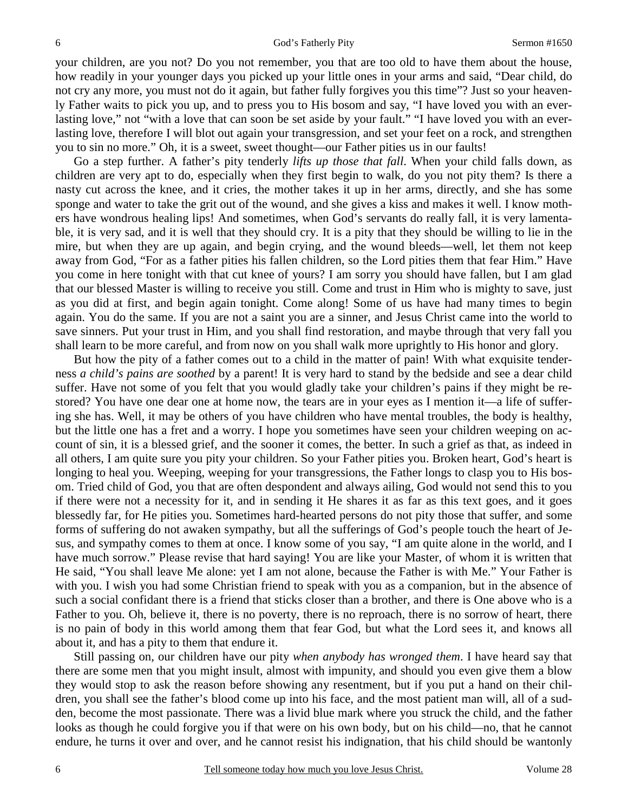your children, are you not? Do you not remember, you that are too old to have them about the house, how readily in your younger days you picked up your little ones in your arms and said, "Dear child, do not cry any more, you must not do it again, but father fully forgives you this time"? Just so your heavenly Father waits to pick you up, and to press you to His bosom and say, "I have loved you with an everlasting love," not "with a love that can soon be set aside by your fault." "I have loved you with an everlasting love, therefore I will blot out again your transgression, and set your feet on a rock, and strengthen you to sin no more." Oh, it is a sweet, sweet thought—our Father pities us in our faults!

 Go a step further. A father's pity tenderly *lifts up those that fall*. When your child falls down, as children are very apt to do, especially when they first begin to walk, do you not pity them? Is there a nasty cut across the knee, and it cries, the mother takes it up in her arms, directly, and she has some sponge and water to take the grit out of the wound, and she gives a kiss and makes it well. I know mothers have wondrous healing lips! And sometimes, when God's servants do really fall, it is very lamentable, it is very sad, and it is well that they should cry. It is a pity that they should be willing to lie in the mire, but when they are up again, and begin crying, and the wound bleeds—well, let them not keep away from God, "For as a father pities his fallen children, so the Lord pities them that fear Him." Have you come in here tonight with that cut knee of yours? I am sorry you should have fallen, but I am glad that our blessed Master is willing to receive you still. Come and trust in Him who is mighty to save, just as you did at first, and begin again tonight. Come along! Some of us have had many times to begin again. You do the same. If you are not a saint you are a sinner, and Jesus Christ came into the world to save sinners. Put your trust in Him, and you shall find restoration, and maybe through that very fall you shall learn to be more careful, and from now on you shall walk more uprightly to His honor and glory.

 But how the pity of a father comes out to a child in the matter of pain! With what exquisite tenderness *a child's pains are soothed* by a parent! It is very hard to stand by the bedside and see a dear child suffer. Have not some of you felt that you would gladly take your children's pains if they might be restored? You have one dear one at home now, the tears are in your eyes as I mention it—a life of suffering she has. Well, it may be others of you have children who have mental troubles, the body is healthy, but the little one has a fret and a worry. I hope you sometimes have seen your children weeping on account of sin, it is a blessed grief, and the sooner it comes, the better. In such a grief as that, as indeed in all others, I am quite sure you pity your children. So your Father pities you. Broken heart, God's heart is longing to heal you. Weeping, weeping for your transgressions, the Father longs to clasp you to His bosom. Tried child of God, you that are often despondent and always ailing, God would not send this to you if there were not a necessity for it, and in sending it He shares it as far as this text goes, and it goes blessedly far, for He pities you. Sometimes hard-hearted persons do not pity those that suffer, and some forms of suffering do not awaken sympathy, but all the sufferings of God's people touch the heart of Jesus, and sympathy comes to them at once. I know some of you say, "I am quite alone in the world, and I have much sorrow." Please revise that hard saying! You are like your Master, of whom it is written that He said, "You shall leave Me alone: yet I am not alone, because the Father is with Me." Your Father is with you. I wish you had some Christian friend to speak with you as a companion, but in the absence of such a social confidant there is a friend that sticks closer than a brother, and there is One above who is a Father to you. Oh, believe it, there is no poverty, there is no reproach, there is no sorrow of heart, there is no pain of body in this world among them that fear God, but what the Lord sees it, and knows all about it, and has a pity to them that endure it.

 Still passing on, our children have our pity *when anybody has wronged them*. I have heard say that there are some men that you might insult, almost with impunity, and should you even give them a blow they would stop to ask the reason before showing any resentment, but if you put a hand on their children, you shall see the father's blood come up into his face, and the most patient man will, all of a sudden, become the most passionate. There was a livid blue mark where you struck the child, and the father looks as though he could forgive you if that were on his own body, but on his child—no, that he cannot endure, he turns it over and over, and he cannot resist his indignation, that his child should be wantonly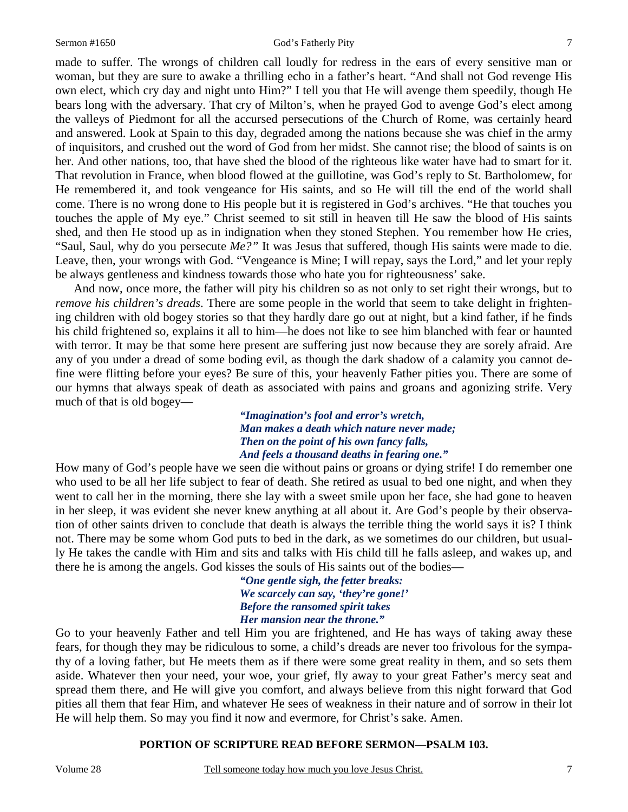#### Sermon #1650 God's Fatherly Pity 7

made to suffer. The wrongs of children call loudly for redress in the ears of every sensitive man or woman, but they are sure to awake a thrilling echo in a father's heart. "And shall not God revenge His own elect, which cry day and night unto Him?" I tell you that He will avenge them speedily, though He bears long with the adversary. That cry of Milton's, when he prayed God to avenge God's elect among the valleys of Piedmont for all the accursed persecutions of the Church of Rome, was certainly heard and answered. Look at Spain to this day, degraded among the nations because she was chief in the army of inquisitors, and crushed out the word of God from her midst. She cannot rise; the blood of saints is on her. And other nations, too, that have shed the blood of the righteous like water have had to smart for it. That revolution in France, when blood flowed at the guillotine, was God's reply to St. Bartholomew, for He remembered it, and took vengeance for His saints, and so He will till the end of the world shall come. There is no wrong done to His people but it is registered in God's archives. "He that touches you touches the apple of My eye." Christ seemed to sit still in heaven till He saw the blood of His saints shed, and then He stood up as in indignation when they stoned Stephen. You remember how He cries, "Saul, Saul, why do you persecute *Me?"* It was Jesus that suffered, though His saints were made to die. Leave, then, your wrongs with God. "Vengeance is Mine; I will repay, says the Lord," and let your reply be always gentleness and kindness towards those who hate you for righteousness' sake.

 And now, once more, the father will pity his children so as not only to set right their wrongs, but to *remove his children's dreads*. There are some people in the world that seem to take delight in frightening children with old bogey stories so that they hardly dare go out at night, but a kind father, if he finds his child frightened so, explains it all to him—he does not like to see him blanched with fear or haunted with terror. It may be that some here present are suffering just now because they are sorely afraid. Are any of you under a dread of some boding evil, as though the dark shadow of a calamity you cannot define were flitting before your eyes? Be sure of this, your heavenly Father pities you. There are some of our hymns that always speak of death as associated with pains and groans and agonizing strife. Very much of that is old bogey—

> *"Imagination's fool and error's wretch, Man makes a death which nature never made; Then on the point of his own fancy falls, And feels a thousand deaths in fearing one."*

How many of God's people have we seen die without pains or groans or dying strife! I do remember one who used to be all her life subject to fear of death. She retired as usual to bed one night, and when they went to call her in the morning, there she lay with a sweet smile upon her face, she had gone to heaven in her sleep, it was evident she never knew anything at all about it. Are God's people by their observation of other saints driven to conclude that death is always the terrible thing the world says it is? I think not. There may be some whom God puts to bed in the dark, as we sometimes do our children, but usually He takes the candle with Him and sits and talks with His child till he falls asleep, and wakes up, and there he is among the angels. God kisses the souls of His saints out of the bodies—

> *"One gentle sigh, the fetter breaks: We scarcely can say, 'they're gone!' Before the ransomed spirit takes Her mansion near the throne."*

Go to your heavenly Father and tell Him you are frightened, and He has ways of taking away these fears, for though they may be ridiculous to some, a child's dreads are never too frivolous for the sympathy of a loving father, but He meets them as if there were some great reality in them, and so sets them aside. Whatever then your need, your woe, your grief, fly away to your great Father's mercy seat and spread them there, and He will give you comfort, and always believe from this night forward that God pities all them that fear Him, and whatever He sees of weakness in their nature and of sorrow in their lot He will help them. So may you find it now and evermore, for Christ's sake. Amen.

### **PORTION OF SCRIPTURE READ BEFORE SERMON—PSALM 103.**